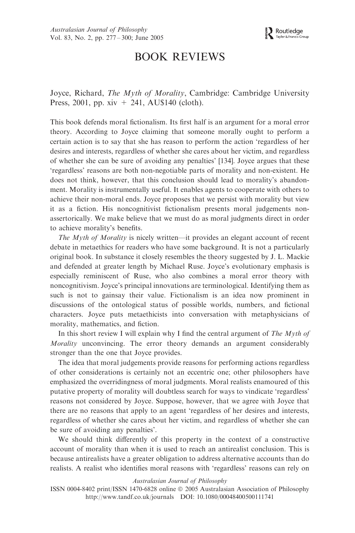# BOOK REVIEWS

Joyce, Richard, The Myth of Morality, Cambridge: Cambridge University Press, 2001, pp.  $xiv + 241$ , AU\$140 (cloth).

This book defends moral fictionalism. Its first half is an argument for a moral error theory. According to Joyce claiming that someone morally ought to perform a certain action is to say that she has reason to perform the action 'regardless of her desires and interests, regardless of whether she cares about her victim, and regardless of whether she can be sure of avoiding any penalties' [134]. Joyce argues that these 'regardless' reasons are both non-negotiable parts of morality and non-existent. He does not think, however, that this conclusion should lead to morality's abandonment. Morality is instrumentally useful. It enables agents to cooperate with others to achieve their non-moral ends. Joyce proposes that we persist with morality but view it as a fiction. His noncognitivist fictionalism presents moral judgements nonassertorically. We make believe that we must do as moral judgments direct in order to achieve morality's benefits.

The Myth of Morality is nicely written—it provides an elegant account of recent debate in metaethics for readers who have some background. It is not a particularly original book. In substance it closely resembles the theory suggested by J. L. Mackie and defended at greater length by Michael Ruse. Joyce's evolutionary emphasis is especially reminiscent of Ruse, who also combines a moral error theory with noncognitivism. Joyce's principal innovations are terminological. Identifying them as such is not to gainsay their value. Fictionalism is an idea now prominent in discussions of the ontological status of possible worlds, numbers, and fictional characters. Joyce puts metaethicists into conversation with metaphysicians of morality, mathematics, and fiction.

In this short review I will explain why I find the central argument of The Myth of Morality unconvincing. The error theory demands an argument considerably stronger than the one that Joyce provides.

The idea that moral judgements provide reasons for performing actions regardless of other considerations is certainly not an eccentric one; other philosophers have emphasized the overridingness of moral judgments. Moral realists enamoured of this putative property of morality will doubtless search for ways to vindicate 'regardless' reasons not considered by Joyce. Suppose, however, that we agree with Joyce that there are no reasons that apply to an agent 'regardless of her desires and interests, regardless of whether she cares about her victim, and regardless of whether she can be sure of avoiding any penalties'.

We should think differently of this property in the context of a constructive account of morality than when it is used to reach an antirealist conclusion. This is because antirealists have a greater obligation to address alternative accounts than do realists. A realist who identifies moral reasons with 'regardless' reasons can rely on

#### Australasian Journal of Philosophy

ISSN 0004-8402 print/ISSN 1470-6828 online  $\odot$  2005 Australasian Association of Philosophy http://www.tandf.co.uk/journals DOI: 10.1080/00048400500111741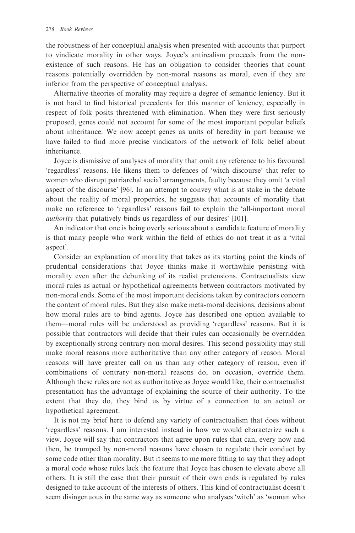the robustness of her conceptual analysis when presented with accounts that purport to vindicate morality in other ways. Joyce's antirealism proceeds from the nonexistence of such reasons. He has an obligation to consider theories that count reasons potentially overridden by non-moral reasons as moral, even if they are inferior from the perspective of conceptual analysis.

Alternative theories of morality may require a degree of semantic leniency. But it is not hard to find historical precedents for this manner of leniency, especially in respect of folk posits threatened with elimination. When they were first seriously proposed, genes could not account for some of the most important popular beliefs about inheritance. We now accept genes as units of heredity in part because we have failed to find more precise vindicators of the network of folk belief about inheritance.

Joyce is dismissive of analyses of morality that omit any reference to his favoured 'regardless' reasons. He likens them to defences of 'witch discourse' that refer to women who disrupt patriarchal social arrangements, faulty because they omit 'a vital aspect of the discourse' [96]. In an attempt to convey what is at stake in the debate about the reality of moral properties, he suggests that accounts of morality that make no reference to 'regardless' reasons fail to explain the 'all-important moral authority that putatively binds us regardless of our desires' [101].

An indicator that one is being overly serious about a candidate feature of morality is that many people who work within the field of ethics do not treat it as a 'vital aspect'.

Consider an explanation of morality that takes as its starting point the kinds of prudential considerations that Joyce thinks make it worthwhile persisting with morality even after the debunking of its realist pretensions. Contractualists view moral rules as actual or hypothetical agreements between contractors motivated by non-moral ends. Some of the most important decisions taken by contractors concern the content of moral rules. But they also make meta-moral decisions, decisions about how moral rules are to bind agents. Joyce has described one option available to them—moral rules will be understood as providing 'regardless' reasons. But it is possible that contractors will decide that their rules can occasionally be overridden by exceptionally strong contrary non-moral desires. This second possibility may still make moral reasons more authoritative than any other category of reason. Moral reasons will have greater call on us than any other category of reason, even if combinations of contrary non-moral reasons do, on occasion, override them. Although these rules are not as authoritative as Joyce would like, their contractualist presentation has the advantage of explaining the source of their authority. To the extent that they do, they bind us by virtue of a connection to an actual or hypothetical agreement.

It is not my brief here to defend any variety of contractualism that does without 'regardless' reasons. I am interested instead in how we would characterize such a view. Joyce will say that contractors that agree upon rules that can, every now and then, be trumped by non-moral reasons have chosen to regulate their conduct by some code other than morality. But it seems to me more fitting to say that they adopt a moral code whose rules lack the feature that Joyce has chosen to elevate above all others. It is still the case that their pursuit of their own ends is regulated by rules designed to take account of the interests of others. This kind of contractualist doesn't seem disingenuous in the same way as someone who analyses 'witch' as 'woman who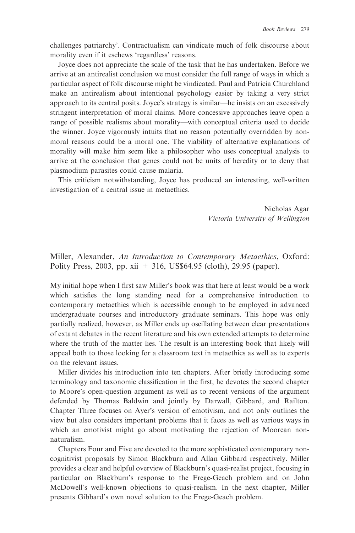challenges patriarchy'. Contractualism can vindicate much of folk discourse about morality even if it eschews 'regardless' reasons.

Joyce does not appreciate the scale of the task that he has undertaken. Before we arrive at an antirealist conclusion we must consider the full range of ways in which a particular aspect of folk discourse might be vindicated. Paul and Patricia Churchland make an antirealism about intentional psychology easier by taking a very strict approach to its central posits. Joyce's strategy is similar—he insists on an excessively stringent interpretation of moral claims. More concessive approaches leave open a range of possible realisms about morality—with conceptual criteria used to decide the winner. Joyce vigorously intuits that no reason potentially overridden by nonmoral reasons could be a moral one. The viability of alternative explanations of morality will make him seem like a philosopher who uses conceptual analysis to arrive at the conclusion that genes could not be units of heredity or to deny that plasmodium parasites could cause malaria.

This criticism notwithstanding, Joyce has produced an interesting, well-written investigation of a central issue in metaethics.

> Nicholas Agar Victoria University of Wellington

Miller, Alexander, An Introduction to Contemporary Metaethics, Oxford: Polity Press, 2003, pp. xii + 316, US\$64.95 (cloth), 29.95 (paper).

My initial hope when I first saw Miller's book was that here at least would be a work which satisfies the long standing need for a comprehensive introduction to contemporary metaethics which is accessible enough to be employed in advanced undergraduate courses and introductory graduate seminars. This hope was only partially realized, however, as Miller ends up oscillating between clear presentations of extant debates in the recent literature and his own extended attempts to determine where the truth of the matter lies. The result is an interesting book that likely will appeal both to those looking for a classroom text in metaethics as well as to experts on the relevant issues.

Miller divides his introduction into ten chapters. After briefly introducing some terminology and taxonomic classification in the first, he devotes the second chapter to Moore's open-question argument as well as to recent versions of the argument defended by Thomas Baldwin and jointly by Darwall, Gibbard, and Railton. Chapter Three focuses on Ayer's version of emotivism, and not only outlines the view but also considers important problems that it faces as well as various ways in which an emotivist might go about motivating the rejection of Moorean nonnaturalism.

Chapters Four and Five are devoted to the more sophisticated contemporary noncognitivist proposals by Simon Blackburn and Allan Gibbard respectively. Miller provides a clear and helpful overview of Blackburn's quasi-realist project, focusing in particular on Blackburn's response to the Frege-Geach problem and on John McDowell's well-known objections to quasi-realism. In the next chapter, Miller presents Gibbard's own novel solution to the Frege-Geach problem.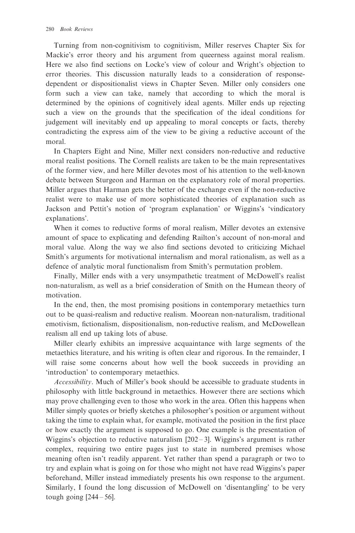Turning from non-cognitivism to cognitivism, Miller reserves Chapter Six for Mackie's error theory and his argument from queerness against moral realism. Here we also find sections on Locke's view of colour and Wright's objection to error theories. This discussion naturally leads to a consideration of responsedependent or dispositionalist views in Chapter Seven. Miller only considers one form such a view can take, namely that according to which the moral is determined by the opinions of cognitively ideal agents. Miller ends up rejecting such a view on the grounds that the specification of the ideal conditions for judgement will inevitably end up appealing to moral concepts or facts, thereby contradicting the express aim of the view to be giving a reductive account of the moral.

In Chapters Eight and Nine, Miller next considers non-reductive and reductive moral realist positions. The Cornell realists are taken to be the main representatives of the former view, and here Miller devotes most of his attention to the well-known debate between Sturgeon and Harman on the explanatory role of moral properties. Miller argues that Harman gets the better of the exchange even if the non-reductive realist were to make use of more sophisticated theories of explanation such as Jackson and Pettit's notion of 'program explanation' or Wiggins's 'vindicatory explanations'.

When it comes to reductive forms of moral realism, Miller devotes an extensive amount of space to explicating and defending Railton's account of non-moral and moral value. Along the way we also find sections devoted to criticizing Michael Smith's arguments for motivational internalism and moral rationalism, as well as a defence of analytic moral functionalism from Smith's permutation problem.

Finally, Miller ends with a very unsympathetic treatment of McDowell's realist non-naturalism, as well as a brief consideration of Smith on the Humean theory of motivation.

In the end, then, the most promising positions in contemporary metaethics turn out to be quasi-realism and reductive realism. Moorean non-naturalism, traditional emotivism, fictionalism, dispositionalism, non-reductive realism, and McDowellean realism all end up taking lots of abuse.

Miller clearly exhibits an impressive acquaintance with large segments of the metaethics literature, and his writing is often clear and rigorous. In the remainder, I will raise some concerns about how well the book succeeds in providing an 'introduction' to contemporary metaethics.

Accessibility. Much of Miller's book should be accessible to graduate students in philosophy with little background in metaethics. However there are sections which may prove challenging even to those who work in the area. Often this happens when Miller simply quotes or briefly sketches a philosopher's position or argument without taking the time to explain what, for example, motivated the position in the first place or how exactly the argument is supposed to go. One example is the presentation of Wiggins's objection to reductive naturalism  $[202-3]$ . Wiggins's argument is rather complex, requiring two entire pages just to state in numbered premises whose meaning often isn't readily apparent. Yet rather than spend a paragraph or two to try and explain what is going on for those who might not have read Wiggins's paper beforehand, Miller instead immediately presents his own response to the argument. Similarly, I found the long discussion of McDowell on 'disentangling' to be very tough going  $[244 - 56]$ .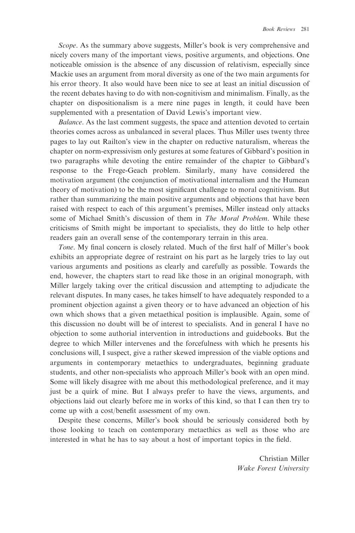Scope. As the summary above suggests, Miller's book is very comprehensive and nicely covers many of the important views, positive arguments, and objections. One noticeable omission is the absence of any discussion of relativism, especially since Mackie uses an argument from moral diversity as one of the two main arguments for his error theory. It also would have been nice to see at least an initial discussion of the recent debates having to do with non-cognitivism and minimalism. Finally, as the chapter on dispositionalism is a mere nine pages in length, it could have been supplemented with a presentation of David Lewis's important view.

Balance. As the last comment suggests, the space and attention devoted to certain theories comes across as unbalanced in several places. Thus Miller uses twenty three pages to lay out Railton's view in the chapter on reductive naturalism, whereas the chapter on norm-expressivism only gestures at some features of Gibbard's position in two paragraphs while devoting the entire remainder of the chapter to Gibbard's response to the Frege-Geach problem. Similarly, many have considered the motivation argument (the conjunction of motivational internalism and the Humean theory of motivation) to be the most significant challenge to moral cognitivism. But rather than summarizing the main positive arguments and objections that have been raised with respect to each of this argument's premises, Miller instead only attacks some of Michael Smith's discussion of them in *The Moral Problem*. While these criticisms of Smith might be important to specialists, they do little to help other readers gain an overall sense of the contemporary terrain in this area.

Tone. My final concern is closely related. Much of the first half of Miller's book exhibits an appropriate degree of restraint on his part as he largely tries to lay out various arguments and positions as clearly and carefully as possible. Towards the end, however, the chapters start to read like those in an original monograph, with Miller largely taking over the critical discussion and attempting to adjudicate the relevant disputes. In many cases, he takes himself to have adequately responded to a prominent objection against a given theory or to have advanced an objection of his own which shows that a given metaethical position is implausible. Again, some of this discussion no doubt will be of interest to specialists. And in general I have no objection to some authorial intervention in introductions and guidebooks. But the degree to which Miller intervenes and the forcefulness with which he presents his conclusions will, I suspect, give a rather skewed impression of the viable options and arguments in contemporary metaethics to undergraduates, beginning graduate students, and other non-specialists who approach Miller's book with an open mind. Some will likely disagree with me about this methodological preference, and it may just be a quirk of mine. But I always prefer to have the views, arguments, and objections laid out clearly before me in works of this kind, so that I can then try to come up with a cost/benefit assessment of my own.

Despite these concerns, Miller's book should be seriously considered both by those looking to teach on contemporary metaethics as well as those who are interested in what he has to say about a host of important topics in the field.

> Christian Miller Wake Forest University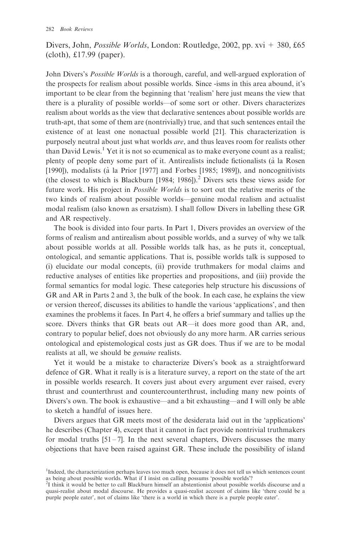# Divers, John, *Possible Worlds*, London: Routledge, 2002, pp. xvi + 380, £65 (cloth), £17.99 (paper).

John Divers's Possible Worlds is a thorough, careful, and well-argued exploration of the prospects for realism about possible worlds. Since -isms in this area abound, it's important to be clear from the beginning that 'realism' here just means the view that there is a plurality of possible worlds—of some sort or other. Divers characterizes realism about worlds as the view that declarative sentences about possible worlds are truth-apt, that some of them are (nontrivially) true, and that such sentences entail the existence of at least one nonactual possible world [21]. This characterization is purposely neutral about just what worlds are, and thus leaves room for realists other than David Lewis.<sup>1</sup> Yet it is not so ecumenical as to make everyone count as a realist; plenty of people deny some part of it. Antirealists include fictionalists (a` la Rosen [1990]), modalists (à la Prior [1977] and Forbes [1985; 1989]), and noncognitivists (the closest to which is Blackburn [1984; 1986]).<sup>2</sup> Divers sets these views aside for future work. His project in Possible Worlds is to sort out the relative merits of the two kinds of realism about possible worlds—genuine modal realism and actualist modal realism (also known as ersatzism). I shall follow Divers in labelling these GR and AR respectively.

The book is divided into four parts. In Part 1, Divers provides an overview of the forms of realism and antirealism about possible worlds, and a survey of why we talk about possible worlds at all. Possible worlds talk has, as he puts it, conceptual, ontological, and semantic applications. That is, possible worlds talk is supposed to (i) elucidate our modal concepts, (ii) provide truthmakers for modal claims and reductive analyses of entities like properties and propositions, and (iii) provide the formal semantics for modal logic. These categories help structure his discussions of GR and AR in Parts 2 and 3, the bulk of the book. In each case, he explains the view or version thereof, discusses its abilities to handle the various 'applications', and then examines the problems it faces. In Part 4, he offers a brief summary and tallies up the score. Divers thinks that GR beats out AR—it does more good than AR, and, contrary to popular belief, does not obviously do any more harm. AR carries serious ontological and epistemological costs just as GR does. Thus if we are to be modal realists at all, we should be genuine realists.

Yet it would be a mistake to characterize Divers's book as a straightforward defence of GR. What it really is is a literature survey, a report on the state of the art in possible worlds research. It covers just about every argument ever raised, every thrust and counterthrust and countercounterthrust, including many new points of Divers's own. The book is exhaustive—and a bit exhausting—and I will only be able to sketch a handful of issues here.

Divers argues that GR meets most of the desiderata laid out in the 'applications' he describes (Chapter 4), except that it cannot in fact provide nontrivial truthmakers for modal truths  $[51 - 7]$ . In the next several chapters, Divers discusses the many objections that have been raised against GR. These include the possibility of island

<sup>&</sup>lt;sup>1</sup>Indeed, the characterization perhaps leaves too much open, because it does not tell us which sentences count as being about possible worlds. What if I insist on calling possums 'possible worlds'?

<sup>2</sup> I think it would be better to call Blackburn himself an abstentionist about possible worlds discourse and a quasi-realist about modal discourse. He provides a quasi-realist account of claims like 'there could be a purple people eater', not of claims like 'there is a world in which there is a purple people eater'.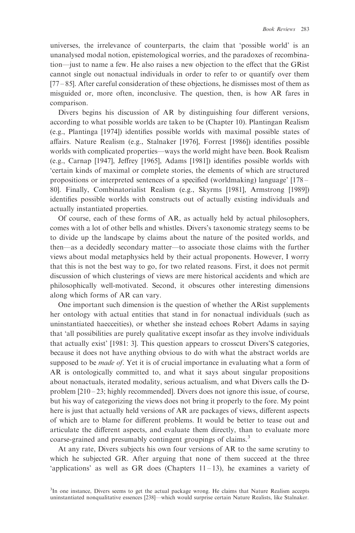universes, the irrelevance of counterparts, the claim that 'possible world' is an unanalysed modal notion, epistemological worries, and the paradoxes of recombination—just to name a few. He also raises a new objection to the effect that the GRist cannot single out nonactual individuals in order to refer to or quantify over them [77 – 85]. After careful consideration of these objections, he dismisses most of them as misguided or, more often, inconclusive. The question, then, is how AR fares in comparison.

Divers begins his discussion of AR by distinguishing four different versions, according to what possible worlds are taken to be (Chapter 10). Plantingan Realism (e.g., Plantinga [1974]) identifies possible worlds with maximal possible states of affairs. Nature Realism (e.g., Stalnaker [1976], Forrest [1986]) identifies possible worlds with complicated properties—ways the world might have been. Book Realism (e.g., Carnap [1947], Jeffrey [1965], Adams [1981]) identifies possible worlds with 'certain kinds of maximal or complete stories, the elements of which are structured propositions or interpreted sentences of a specified (worldmaking) language' [178 – 80]. Finally, Combinatorialist Realism (e.g., Skyrms [1981], Armstrong [1989]) identifies possible worlds with constructs out of actually existing individuals and actually instantiated properties.

Of course, each of these forms of AR, as actually held by actual philosophers, comes with a lot of other bells and whistles. Divers's taxonomic strategy seems to be to divide up the landscape by claims about the nature of the posited worlds, and then—as a decidedly secondary matter—to associate those claims with the further views about modal metaphysics held by their actual proponents. However, I worry that this is not the best way to go, for two related reasons. First, it does not permit discussion of which clusterings of views are mere historical accidents and which are philosophically well-motivated. Second, it obscures other interesting dimensions along which forms of AR can vary.

One important such dimension is the question of whether the ARist supplements her ontology with actual entities that stand in for nonactual individuals (such as uninstantiated haecceities), or whether she instead echoes Robert Adams in saying that 'all possibilities are purely qualitative except insofar as they involve individuals that actually exist' [1981: 3]. This question appears to crosscut Divers'S categories, because it does not have anything obvious to do with what the abstract worlds are supposed to be *made of*. Yet it is of crucial importance in evaluating what a form of AR is ontologically committed to, and what it says about singular propositions about nonactuals, iterated modality, serious actualism, and what Divers calls the Dproblem  $[210 - 23;$  highly recommended]. Divers does not ignore this issue, of course, but his way of categorizing the views does not bring it properly to the fore. My point here is just that actually held versions of AR are packages of views, different aspects of which are to blame for different problems. It would be better to tease out and articulate the different aspects, and evaluate them directly, than to evaluate more coarse-grained and presumably contingent groupings of claims.<sup>3</sup>

At any rate, Divers subjects his own four versions of AR to the same scrutiny to which he subjected GR. After arguing that none of them succeed at the three 'applications' as well as GR does (Chapters  $11-13$ ), he examines a variety of

<sup>&</sup>lt;sup>3</sup>In one instance, Divers seems to get the actual package wrong. He claims that Nature Realism accepts uninstantiated nonqualitative essences [238]—which would surprise certain Nature Realists, like Stalnaker.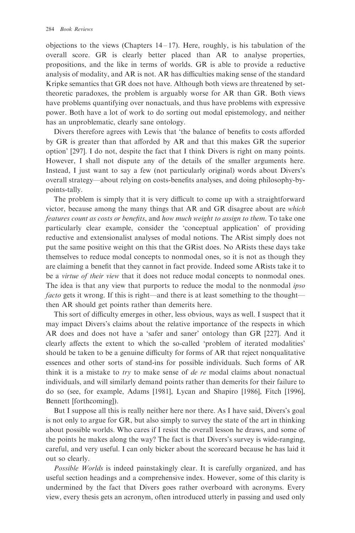objections to the views (Chapters  $14-17$ ). Here, roughly, is his tabulation of the overall score. GR is clearly better placed than AR to analyse properties, propositions, and the like in terms of worlds. GR is able to provide a reductive analysis of modality, and AR is not. AR has difficulties making sense of the standard Kripke semantics that GR does not have. Although both views are threatened by settheoretic paradoxes, the problem is arguably worse for AR than GR. Both views have problems quantifying over nonactuals, and thus have problems with expressive power. Both have a lot of work to do sorting out modal epistemology, and neither has an unproblematic, clearly sane ontology.

Divers therefore agrees with Lewis that 'the balance of benefits to costs afforded by GR is greater than that afforded by AR and that this makes GR the superior option' [297]. I do not, despite the fact that I think Divers is right on many points. However, I shall not dispute any of the details of the smaller arguments here. Instead, I just want to say a few (not particularly original) words about Divers's overall strategy—about relying on costs-benefits analyses, and doing philosophy-bypoints-tally.

The problem is simply that it is very difficult to come up with a straightforward victor, because among the many things that AR and GR disagree about are which features count as costs or benefits, and how much weight to assign to them. To take one particularly clear example, consider the 'conceptual application' of providing reductive and extensionalist analyses of modal notions. The ARist simply does not put the same positive weight on this that the GRist does. No ARists these days take themselves to reduce modal concepts to nonmodal ones, so it is not as though they are claiming a benefit that they cannot in fact provide. Indeed some ARists take it to be a *virtue of their view* that it does not reduce modal concepts to nonmodal ones. The idea is that any view that purports to reduce the modal to the nonmodal ipso facto gets it wrong. If this is right—and there is at least something to the thought then AR should get points rather than demerits here.

This sort of difficulty emerges in other, less obvious, ways as well. I suspect that it may impact Divers's claims about the relative importance of the respects in which AR does and does not have a 'safer and saner' ontology than GR [227]. And it clearly affects the extent to which the so-called 'problem of iterated modalities' should be taken to be a genuine difficulty for forms of AR that reject nonqualitative essences and other sorts of stand-ins for possible individuals. Such forms of AR think it is a mistake to  $try$  to make sense of de re modal claims about nonactual individuals, and will similarly demand points rather than demerits for their failure to do so (see, for example, Adams [1981], Lycan and Shapiro [1986], Fitch [1996], Bennett [forthcoming]).

But I suppose all this is really neither here nor there. As I have said, Divers's goal is not only to argue for GR, but also simply to survey the state of the art in thinking about possible worlds. Who cares if I resist the overall lesson he draws, and some of the points he makes along the way? The fact is that Divers's survey is wide-ranging, careful, and very useful. I can only bicker about the scorecard because he has laid it out so clearly.

Possible Worlds is indeed painstakingly clear. It is carefully organized, and has useful section headings and a comprehensive index. However, some of this clarity is undermined by the fact that Divers goes rather overboard with acronyms. Every view, every thesis gets an acronym, often introduced utterly in passing and used only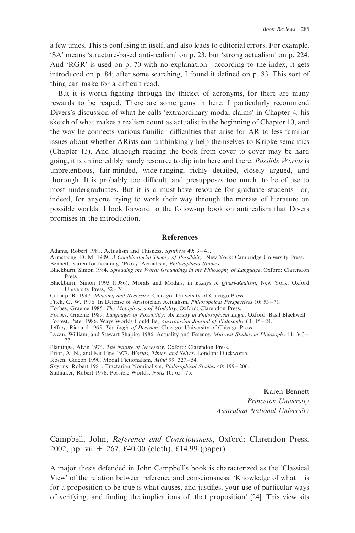a few times. This is confusing in itself, and also leads to editorial errors. For example, 'SA' means 'structure-based anti-realism' on p. 23, but 'strong actualism' on p. 224. And 'RGR' is used on p. 70 with no explanation—according to the index, it gets introduced on p. 84; after some searching, I found it defined on p. 83. This sort of thing can make for a difficult read.

But it is worth fighting through the thicket of acronyms, for there are many rewards to be reaped. There are some gems in here. I particularly recommend Divers's discussion of what he calls 'extraordinary modal claims' in Chapter 4, his sketch of what makes a realism count as actualist in the beginning of Chapter 10, and the way he connects various familiar difficulties that arise for AR to less familiar issues about whether ARists can unthinkingly help themselves to Kripke semantics (Chapter 13). And although reading the book from cover to cover may be hard going, it is an incredibly handy resource to dip into here and there. Possible Worlds is unpretentious, fair-minded, wide-ranging, richly detailed, closely argued, and thorough. It is probably too difficult, and presupposes too much, to be of use to most undergraduates. But it is a must-have resource for graduate students—or, indeed, for anyone trying to work their way through the morass of literature on possible worlds. I look forward to the follow-up book on antirealism that Divers promises in the introduction.

### **References**

- Adams, Robert 1981. Actualism and Thisness, Synthèse 49: 3-41.
- Armstrong, D. M. 1989. A Combinatorial Theory of Possibility, New York: Cambridge University Press.
- Bennett, Karen forthcoming. 'Proxy' Actualism, Philosophical Studies.
- Blackburn, Simon 1984. Spreading the Word: Groundings in the Philosophy of Language, Oxford: Clarendon Press.
- Blackburn, Simon 1993 (1986). Morals and Modals, in Essays in Quasi-Realism, New York: Oxford University Press, 52 – 74.
- Carnap, R. 1947. Meaning and Necessity, Chicago: University of Chicago Press.
- Fitch, G. W. 1996. In Defense of Aristotelian Actualism, *Philosophical Perspectives* 10: 53 71.
- Forbes, Graeme 1985. The Metaphysics of Modality, Oxford: Clarendon Press.
- Forbes, Graeme 1989. Languages of Possibility: An Essay in Philosophical Logic, Oxford: Basil Blackwell.
- Forrest, Peter 1986. Ways Worlds Could Be, Australasian Journal of Philosophy 64: 15 24.
- Jeffrey, Richard 1965. The Logic of Decision, Chicago: University of Chicago Press.
- Lycan, William, and Stewart Shapiro 1986. Actuality and Essence, Midwest Studies in Philosophy 11: 343 77.
- Plantinga, Alvin 1974. The Nature of Necessity, Oxford: Clarendon Press.
- Prior, A. N., and Kit Fine 1977. Worlds, Times, and Selves. London: Duckworth.
- Rosen, Gideon 1990. Modal Fictionalism, Mind 99: 327 54.
- Skyrms, Robert 1981. Tractarian Nominalism, Philosophical Studies 40: 199 206.
- Stalnaker, Robert 1976. Possible Worlds, Noûs 10: 65-75.

Karen Bennett Princeton University Australian National University

Campbell, John, Reference and Consciousness, Oxford: Clarendon Press, 2002, pp. vii + 267, £40.00 (cloth), £14.99 (paper).

A major thesis defended in John Campbell's book is characterized as the 'Classical View' of the relation between reference and consciousness: 'Knowledge of what it is for a proposition to be true is what causes, and justifies, your use of particular ways of verifying, and finding the implications of, that proposition' [24]. This view sits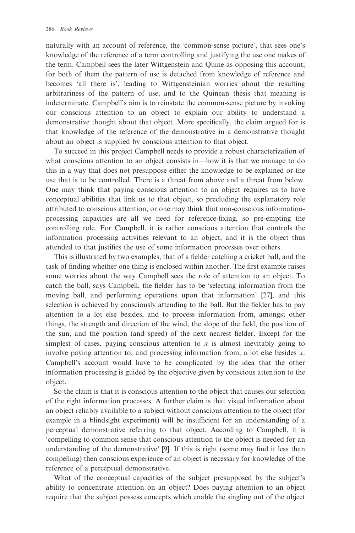naturally with an account of reference, the 'common-sense picture', that sees one's knowledge of the reference of a term controlling and justifying the use one makes of the term. Campbell sees the later Wittgenstein and Quine as opposing this account; for both of them the pattern of use is detached from knowledge of reference and becomes 'all there is', leading to Wittgensteinian worries about the resulting arbitrariness of the pattern of use, and to the Quinean thesis that meaning is indeterminate. Campbell's aim is to reinstate the common-sense picture by invoking our conscious attention to an object to explain our ability to understand a demonstrative thought about that object. More specifically, the claim argued for is that knowledge of the reference of the demonstrative in a demonstrative thought about an object is supplied by conscious attention to that object.

To succeed in this project Campbell needs to provide a robust characterization of what conscious attention to an object consists in—how it is that we manage to do this in a way that does not presuppose either the knowledge to be explained or the use that is to be controlled. There is a threat from above and a threat from below. One may think that paying conscious attention to an object requires us to have conceptual abilities that link us to that object, so precluding the explanatory role attributed to conscious attention, or one may think that non-conscious informationprocessing capacities are all we need for reference-fixing, so pre-empting the controlling role. For Campbell, it is rather conscious attention that controls the information processing activities relevant to an object, and it is the object thus attended to that justifies the use of some information processes over others.

This is illustrated by two examples, that of a fielder catching a cricket ball, and the task of finding whether one thing is enclosed within another. The first example raises some worries about the way Campbell sees the role of attention to an object. To catch the ball, says Campbell, the fielder has to be 'selecting information from the moving ball, and performing operations upon that information' [27], and this selection is achieved by consciously attending to the ball. But the fielder has to pay attention to a lot else besides, and to process information from, amongst other things, the strength and direction of the wind, the slope of the field, the position of the sun, and the position (and speed) of the next nearest fielder. Except for the simplest of cases, paying conscious attention to  $x$  is almost inevitably going to involve paying attention to, and processing information from, a lot else besides x. Campbell's account would have to be complicated by the idea that the other information processing is guided by the objective given by conscious attention to the object.

So the claim is that it is conscious attention to the object that causes our selection of the right information processes. A further claim is that visual information about an object reliably available to a subject without conscious attention to the object (for example in a blindsight experiment) will be insufficient for an understanding of a perceptual demonstrative referring to that object. According to Campbell, it is 'compelling to common sense that conscious attention to the object is needed for an understanding of the demonstrative' [9]. If this is right (some may find it less than compelling) then conscious experience of an object is necessary for knowledge of the reference of a perceptual demonstrative.

What of the conceptual capacities of the subject presupposed by the subject's ability to concentrate attention on an object? Does paying attention to an object require that the subject possess concepts which enable the singling out of the object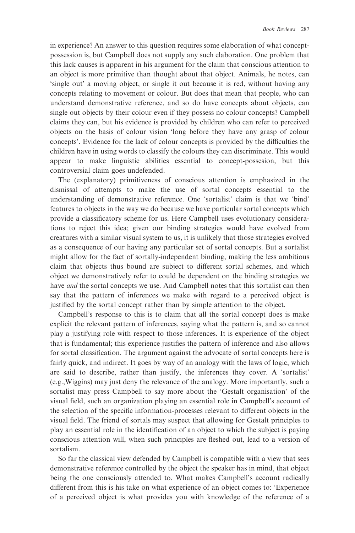in experience? An answer to this question requires some elaboration of what conceptpossession is, but Campbell does not supply any such elaboration. One problem that this lack causes is apparent in his argument for the claim that conscious attention to an object is more primitive than thought about that object. Animals, he notes, can 'single out' a moving object, or single it out because it is red, without having any concepts relating to movement or colour. But does that mean that people, who can understand demonstrative reference, and so do have concepts about objects, can single out objects by their colour even if they possess no colour concepts? Campbell claims they can, but his evidence is provided by children who can refer to perceived objects on the basis of colour vision 'long before they have any grasp of colour concepts'. Evidence for the lack of colour concepts is provided by the difficulties the children have in using words to classify the colours they can discriminate. This would appear to make linguistic abilities essential to concept-possesion, but this controversial claim goes undefended.

The (explanatory) primitiveness of conscious attention is emphasized in the dismissal of attempts to make the use of sortal concepts essential to the understanding of demonstrative reference. One 'sortalist' claim is that we 'bind' features to objects in the way we do because we have particular sortal concepts which provide a classificatory scheme for us. Here Campbell uses evolutionary considerations to reject this idea; given our binding strategies would have evolved from creatures with a similar visual system to us, it is unlikely that those strategies evolved as a consequence of our having any particular set of sortal concepts. But a sortalist might allow for the fact of sortally-independent binding, making the less ambitious claim that objects thus bound are subject to different sortal schemes, and which object we demonstratively refer to could be dependent on the binding strategies we have *and* the sortal concepts we use. And Campbell notes that this sortalist can then say that the pattern of inferences we make with regard to a perceived object is justified by the sortal concept rather than by simple attention to the object.

Campbell's response to this is to claim that all the sortal concept does is make explicit the relevant pattern of inferences, saying what the pattern is, and so cannot play a justifying role with respect to those inferences. It is experience of the object that is fundamental; this experience justifies the pattern of inference and also allows for sortal classification. The argument against the advocate of sortal concepts here is fairly quick, and indirect. It goes by way of an analogy with the laws of logic, which are said to describe, rather than justify, the inferences they cover. A 'sortalist' (e.g.,Wiggins) may just deny the relevance of the analogy. More importantly, such a sortalist may press Campbell to say more about the 'Gestalt organisation' of the visual field, such an organization playing an essential role in Campbell's account of the selection of the specific information-processes relevant to different objects in the visual field. The friend of sortals may suspect that allowing for Gestalt principles to play an essential role in the identification of an object to which the subject is paying conscious attention will, when such principles are fleshed out, lead to a version of sortalism.

So far the classical view defended by Campbell is compatible with a view that sees demonstrative reference controlled by the object the speaker has in mind, that object being the one consciously attended to. What makes Campbell's account radically different from this is his take on what experience of an object comes to: 'Experience of a perceived object is what provides you with knowledge of the reference of a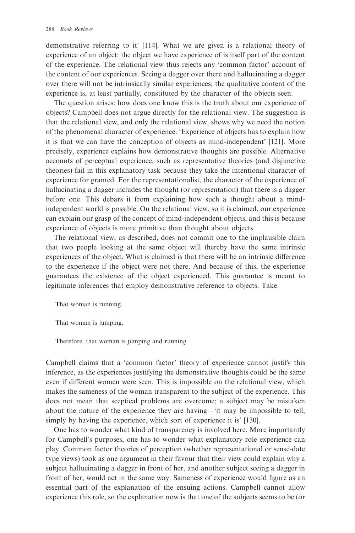demonstrative referring to it' [114]. What we are given is a relational theory of experience of an object: the object we have experience of is itself part of the content of the experience. The relational view thus rejects any 'common factor' account of the content of our experiences. Seeing a dagger over there and hallucinating a dagger over there will not be intrinsically similar experiences; the qualitative content of the experience is, at least partially, constituted by the character of the objects seen.

The question arises: how does one know this is the truth about our experience of objects? Campbell does not argue directly for the relational view. The suggestion is that the relational view, and only the relational view, shows why we need the notion of the phenomenal character of experience. 'Experience of objects has to explain how it is that we can have the conception of objects as mind-independent' [121]. More precisely, experience explains how demonstrative thoughts are possible. Alternative accounts of perceptual experience, such as representative theories (and disjunctive theories) fail in this explanatory task because they take the intentional character of experience for granted. For the representationalist, the character of the experience of hallucinating a dagger includes the thought (or representation) that there is a dagger before one. This debars it from explaining how such a thought about a mindindependent world is possible. On the relational view, so it is claimed, our experience can explain our grasp of the concept of mind-independent objects, and this is because experience of objects is more primitive than thought about objects.

The relational view, as described, does not commit one to the implausible claim that two people looking at the same object will thereby have the same intrinsic experiences of the object. What is claimed is that there will be an intrinsic difference to the experience if the object were not there. And because of this, the experience guarantees the existence of the object experienced. This guarantee is meant to legitimate inferences that employ demonstrative reference to objects. Take

That woman is running.

That woman is jumping.

Therefore, that woman is jumping and running.

Campbell claims that a 'common factor' theory of experience cannot justify this inference, as the experiences justifying the demonstrative thoughts could be the same even if different women were seen. This is impossible on the relational view, which makes the sameness of the woman transparent to the subject of the experience. This does not mean that sceptical problems are overcome; a subject may be mistaken about the nature of the experience they are having—'it may be impossible to tell, simply by having the experience, which sort of experience it is' [130].

One has to wonder what kind of transparency is involved here. More importantly for Campbell's purposes, one has to wonder what explanatory role experience can play. Common factor theories of perception (whether representational or sense-date type views) took as one argument in their favour that their view could explain why a subject hallucinating a dagger in front of her, and another subject seeing a dagger in front of her, would act in the same way. Sameness of experience would figure as an essential part of the explanation of the ensuing actions. Campbell cannot allow experience this role, so the explanation now is that one of the subjects seems to be (or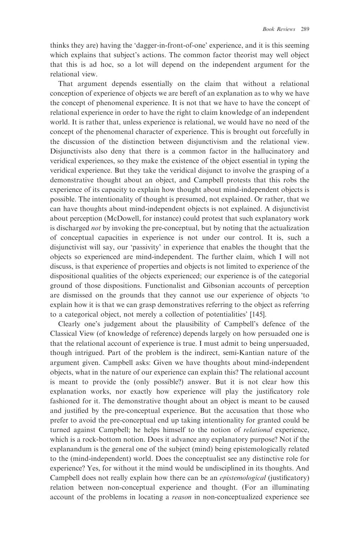thinks they are) having the 'dagger-in-front-of-one' experience, and it is this seeming which explains that subject's actions. The common factor theorist may well object that this is ad hoc, so a lot will depend on the independent argument for the relational view.

That argument depends essentially on the claim that without a relational conception of experience of objects we are bereft of an explanation as to why we have the concept of phenomenal experience. It is not that we have to have the concept of relational experience in order to have the right to claim knowledge of an independent world. It is rather that, unless experience is relational, we would have no need of the concept of the phenomenal character of experience. This is brought out forcefully in the discussion of the distinction between disjunctivism and the relational view. Disjunctivists also deny that there is a common factor in the hallucinatory and veridical experiences, so they make the existence of the object essential in typing the veridical experience. But they take the veridical disjunct to involve the grasping of a demonstrative thought about an object, and Campbell protests that this robs the experience of its capacity to explain how thought about mind-independent objects is possible. The intentionality of thought is presumed, not explained. Or rather, that we can have thoughts about mind-independent objects is not explained. A disjunctivist about perception (McDowell, for instance) could protest that such explanatory work is discharged *not* by invoking the pre-conceptual, but by noting that the actualization of conceptual capacities in experience is not under our control. It is, such a disjunctivist will say, our 'passivity' in experience that enables the thought that the objects so experienced are mind-independent. The further claim, which I will not discuss, is that experience of properties and objects is not limited to experience of the dispositional qualities of the objects experienced; our experience is of the categorial ground of those dispositions. Functionalist and Gibsonian accounts of perception are dismissed on the grounds that they cannot use our experience of objects 'to explain how it is that we can grasp demonstratives referring to the object as referring to a categorical object, not merely a collection of potentialities' [145].

Clearly one's judgement about the plausibility of Campbell's defence of the Classical View (of knowledge of reference) depends largely on how persuaded one is that the relational account of experience is true. I must admit to being unpersuaded, though intrigued. Part of the problem is the indirect, semi-Kantian nature of the argument given. Campbell asks: Given we have thoughts about mind-independent objects, what in the nature of our experience can explain this? The relational account is meant to provide the (only possible?) answer. But it is not clear how this explanation works, nor exactly how experience will play the justificatory role fashioned for it. The demonstrative thought about an object is meant to be caused and justified by the pre-conceptual experience. But the accusation that those who prefer to avoid the pre-conceptual end up taking intentionality for granted could be turned against Campbell; he helps himself to the notion of relational experience, which is a rock-bottom notion. Does it advance any explanatory purpose? Not if the explanandum is the general one of the subject (mind) being epistemologically related to the (mind-independent) world. Does the conceptualist see any distinctive role for experience? Yes, for without it the mind would be undisciplined in its thoughts. And Campbell does not really explain how there can be an epistemological (justificatory) relation between non-conceptual experience and thought. (For an illuminating account of the problems in locating a reason in non-conceptualized experience see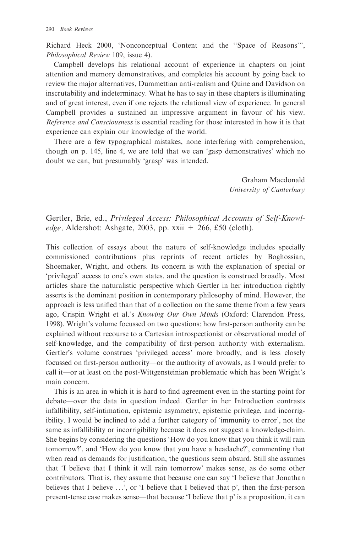Richard Heck 2000, 'Nonconceptual Content and the ''Space of Reasons''', Philosophical Review 109, issue 4).

Campbell develops his relational account of experience in chapters on joint attention and memory demonstratives, and completes his account by going back to review the major alternatives, Dummettian anti-realism and Quine and Davidson on inscrutability and indeterminacy. What he has to say in these chapters is illuminating and of great interest, even if one rejects the relational view of experience. In general Campbell provides a sustained an impressive argument in favour of his view. Reference and Consciousness is essential reading for those interested in how it is that experience can explain our knowledge of the world.

There are a few typographical mistakes, none interfering with comprehension, though on p. 145, line 4, we are told that we can 'gasp demonstratives' which no doubt we can, but presumably 'grasp' was intended.

> Graham Macdonald University of Canterbury

Gertler, Brie, ed., Privileged Access: Philosophical Accounts of Self-Knowl*edge*, Aldershot: Ashgate, 2003, pp. xxii  $+$  266, £50 (cloth).

This collection of essays about the nature of self-knowledge includes specially commissioned contributions plus reprints of recent articles by Boghossian, Shoemaker, Wright, and others. Its concern is with the explanation of special or 'privileged' access to one's own states, and the question is construed broadly. Most articles share the naturalistic perspective which Gertler in her introduction rightly asserts is the dominant position in contemporary philosophy of mind. However, the approach is less unified than that of a collection on the same theme from a few years ago, Crispin Wright et al.'s Knowing Our Own Minds (Oxford: Clarendon Press, 1998). Wright's volume focussed on two questions: how first-person authority can be explained without recourse to a Cartesian introspectionist or observational model of self-knowledge, and the compatibility of first-person authority with externalism. Gertler's volume construes 'privileged access' more broadly, and is less closely focussed on first-person authority—or the authority of avowals, as I would prefer to call it—or at least on the post-Wittgensteinian problematic which has been Wright's main concern.

This is an area in which it is hard to find agreement even in the starting point for debate—over the data in question indeed. Gertler in her Introduction contrasts infallibility, self-intimation, epistemic asymmetry, epistemic privilege, and incorrigibility. I would be inclined to add a further category of 'immunity to error', not the same as infallibility or incorrigibility because it does not suggest a knowledge-claim. She begins by considering the questions 'How do you know that you think it will rain tomorrow?', and 'How do you know that you have a headache?', commenting that when read as demands for justification, the questions seem absurd. Still she assumes that 'I believe that I think it will rain tomorrow' makes sense, as do some other contributors. That is, they assume that because one can say 'I believe that Jonathan believes that I believe  $\dots$ , or 'I believe that I believed that p', then the first-person present-tense case makes sense—that because 'I believe that p' is a proposition, it can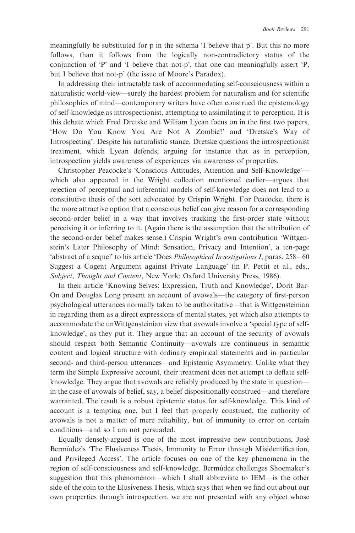meaningfully be substituted for p in the schema 'I believe that p'. But this no more follows, than it follows from the logically non-contradictory status of the conjunction of 'P' and 'I believe that not-p', that one can meaningfully assert 'P, but I believe that not-p' (the issue of Moore's Paradox).

In addressing their intractable task of accommodating self-consciousness within a naturalistic world-view—surely the hardest problem for naturalism and for scientific philosophies of mind—contemporary writers have often construed the epistemology of self-knowledge as introspectionist, attempting to assimilating it to perception. It is this debate which Fred Dretske and William Lycan focus on in the first two papers, 'How Do You Know You Are Not A Zombie?' and 'Dretske's Way of Introspecting'. Despite his naturalistic stance, Dretske questions the introspectionist treatment, which Lycan defends, arguing for instance that as in perception, introspection yields awareness of experiences via awareness of properties.

Christopher Peacocke's 'Conscious Attitudes, Attention and Self-Knowledge' which also appeared in the Wright collection mentioned earlier—argues that rejection of perceptual and inferential models of self-knowledge does not lead to a constitutive thesis of the sort advocated by Crispin Wright. For Peacocke, there is the more attractive option that a conscious belief can give reason for a corresponding second-order belief in a way that involves tracking the first-order state without perceiving it or inferring to it. (Again there is the assumption that the attribution of the second-order belief makes sense.) Crispin Wright's own contribution 'Wittgenstein's Later Philosophy of Mind: Sensation, Privacy and Intention', a ten-page 'abstract of a sequel' to his article 'Does Philosophical Investigations I, paras. 258 – 60 Suggest a Cogent Argument against Private Language' (in P. Pettit et al., eds., Subject, Thought and Content, New York: Oxford University Press, 1986).

In their article 'Knowing Selves: Expression, Truth and Knowledge', Dorit Bar-On and Douglas Long present an account of avowals—the category of first-person psychological utterances normally taken to be authoritative—that is Wittgensteinian in regarding them as a direct expressions of mental states, yet which also attempts to accommodate the unWittgensteinian view that avowals involve a 'special type of selfknowledge', as they put it. They argue that an account of the security of avowals should respect both Semantic Continuity—avowals are continuous in semantic content and logical structure with ordinary empirical statements and in particular second- and third-person utterances—and Epistemic Asymmetry. Unlike what they term the Simple Expressive account, their treatment does not attempt to deflate selfknowledge. They argue that avowals are reliably produced by the state in question in the case of avowals of belief, say, a belief dispositionally construed—and therefore warranted. The result is a robust epistemic status for self-knowledge. This kind of account is a tempting one, but I feel that properly construed, the authority of avowals is not a matter of mere reliability, but of immunity to error on certain conditions—and so I am not persuaded.

Equally densely-argued is one of the most impressive new contributions, Jose´ Bermutdez's 'The Elusiveness Thesis, Immunity to Error through Misidentification, and Privileged Access'. The article focuses on one of the key phenomena in the region of self-consciousness and self-knowledge. Bermu´dez challenges Shoemaker's suggestion that this phenomenon—which I shall abbreviate to IEM—is the other side of the coin to the Elusiveness Thesis, which says that when we find out about our own properties through introspection, we are not presented with any object whose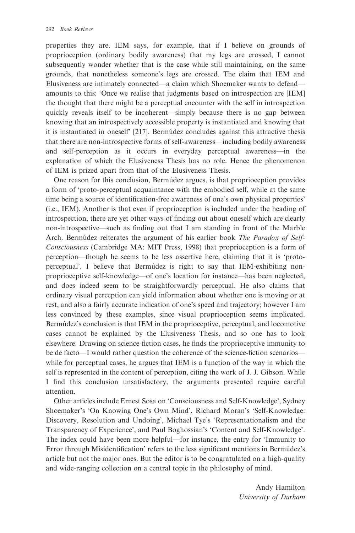properties they are. IEM says, for example, that if I believe on grounds of proprioception (ordinary bodily awareness) that my legs are crossed, I cannot subsequently wonder whether that is the case while still maintaining, on the same grounds, that nonetheless someone's legs are crossed. The claim that IEM and Elusiveness are intimately connected—a claim which Shoemaker wants to defend amounts to this: 'Once we realise that judgments based on introspection are [IEM] the thought that there might be a perceptual encounter with the self in introspection quickly reveals itself to be incoherent—simply because there is no gap between knowing that an introspectively accessible property is instantiated and knowing that it is instantiated in oneself [217]. Bermutdez concludes against this attractive thesis that there are non-introspective forms of self-awareness—including bodily awareness and self-perception as it occurs in everyday perceptual awareness—in the explanation of which the Elusiveness Thesis has no role. Hence the phenomenon of IEM is prized apart from that of the Elusiveness Thesis.

One reason for this conclusion, Bermúdez argues, is that proprioception provides a form of 'proto-perceptual acquaintance with the embodied self, while at the same time being a source of identification-free awareness of one's own physical properties' (i.e., IEM). Another is that even if proprioception is included under the heading of introspection, there are yet other ways of finding out about oneself which are clearly non-introspective—such as finding out that I am standing in front of the Marble Arch. Bermúdez reiterates the argument of his earlier book The Paradox of Self-Consciousness (Cambridge MA: MIT Press, 1998) that proprioception is a form of perception—though he seems to be less assertive here, claiming that it is 'protoperceptual'. I believe that Bermu´dez is right to say that IEM-exhibiting nonproprioceptive self-knowledge—of one's location for instance—has been neglected, and does indeed seem to be straightforwardly perceptual. He also claims that ordinary visual perception can yield information about whether one is moving or at rest, and also a fairly accurate indication of one's speed and trajectory; however I am less convinced by these examples, since visual proprioception seems implicated. Bermutdez's conclusion is that IEM in the proprioceptive, perceptual, and locomotive cases cannot be explained by the Elusiveness Thesis, and so one has to look elsewhere. Drawing on science-fiction cases, he finds the proprioceptive immunity to be de facto—I would rather question the coherence of the science-fiction scenarios while for perceptual cases, he argues that IEM is a function of the way in which the self is represented in the content of perception, citing the work of J. J. Gibson. While I find this conclusion unsatisfactory, the arguments presented require careful attention.

Other articles include Ernest Sosa on 'Consciousness and Self-Knowledge', Sydney Shoemaker's 'On Knowing One's Own Mind', Richard Moran's 'Self-Knowledge: Discovery, Resolution and Undoing', Michael Tye's 'Representationalism and the Transparency of Experience', and Paul Boghossian's 'Content and Self-Knowledge'. The index could have been more helpful—for instance, the entry for 'Immunity to Error through Misidentification' refers to the less significant mentions in Bermutdez's article but not the major ones. But the editor is to be congratulated on a high-quality and wide-ranging collection on a central topic in the philosophy of mind.

> Andy Hamilton University of Durham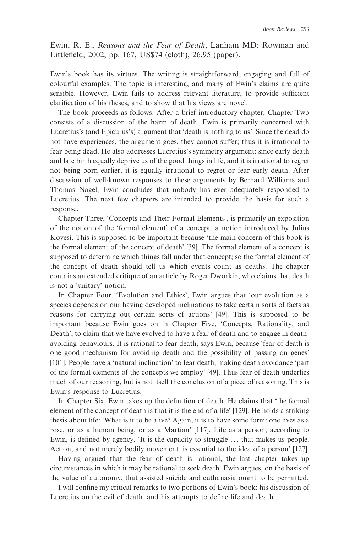Ewin, R. E., Reasons and the Fear of Death, Lanham MD: Rowman and Littlefield, 2002, pp. 167, US\$74 (cloth), 26.95 (paper).

Ewin's book has its virtues. The writing is straightforward, engaging and full of colourful examples. The topic is interesting, and many of Ewin's claims are quite sensible. However, Ewin fails to address relevant literature, to provide sufficient clarification of his theses, and to show that his views are novel.

The book proceeds as follows. After a brief introductory chapter, Chapter Two consists of a discussion of the harm of death. Ewin is primarily concerned with Lucretius's (and Epicurus's) argument that 'death is nothing to us'. Since the dead do not have experiences, the argument goes, they cannot suffer; thus it is irrational to fear being dead. He also addresses Lucretius's symmetry argument: since early death and late birth equally deprive us of the good things in life, and it is irrational to regret not being born earlier, it is equally irrational to regret or fear early death. After discussion of well-known responses to these arguments by Bernard Williams and Thomas Nagel, Ewin concludes that nobody has ever adequately responded to Lucretius. The next few chapters are intended to provide the basis for such a response.

Chapter Three, 'Concepts and Their Formal Elements', is primarily an exposition of the notion of the 'formal element' of a concept, a notion introduced by Julius Kovesi. This is supposed to be important because 'the main concern of this book is the formal element of the concept of death' [39]. The formal element of a concept is supposed to determine which things fall under that concept; so the formal element of the concept of death should tell us which events count as deaths. The chapter contains an extended critique of an article by Roger Dworkin, who claims that death is not a 'unitary' notion.

In Chapter Four, 'Evolution and Ethics', Ewin argues that 'our evolution as a species depends on our having developed inclinations to take certain sorts of facts as reasons for carrying out certain sorts of actions' [49]. This is supposed to be important because Ewin goes on in Chapter Five, 'Concepts, Rationality, and Death', to claim that we have evolved to have a fear of death and to engage in deathavoiding behaviours. It is rational to fear death, says Ewin, because 'fear of death is one good mechanism for avoiding death and the possibility of passing on genes' [101]. People have a 'natural inclination' to fear death, making death avoidance 'part of the formal elements of the concepts we employ' [49]. Thus fear of death underlies much of our reasoning, but is not itself the conclusion of a piece of reasoning. This is Ewin's response to Lucretius.

In Chapter Six, Ewin takes up the definition of death. He claims that 'the formal element of the concept of death is that it is the end of a life' [129]. He holds a striking thesis about life: 'What is it to be alive? Again, it is to have some form: one lives as a rose, or as a human being, or as a Martian' [117]. Life as a person, according to Ewin, is defined by agency. 'It is the capacity to struggle . . . that makes us people. Action, and not merely bodily movement, is essential to the idea of a person' [127].

Having argued that the fear of death is rational, the last chapter takes up circumstances in which it may be rational to seek death. Ewin argues, on the basis of the value of autonomy, that assisted suicide and euthanasia ought to be permitted.

I will confine my critical remarks to two portions of Ewin's book: his discussion of Lucretius on the evil of death, and his attempts to define life and death.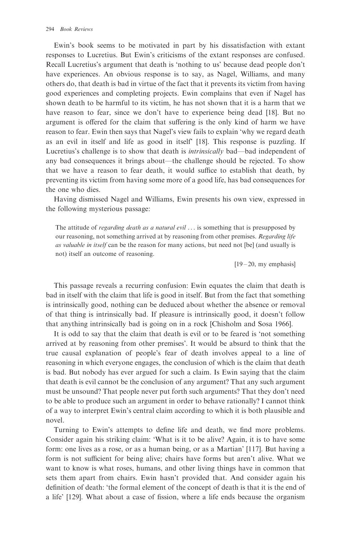Ewin's book seems to be motivated in part by his dissatisfaction with extant responses to Lucretius. But Ewin's criticisms of the extant responses are confused. Recall Lucretius's argument that death is 'nothing to us' because dead people don't have experiences. An obvious response is to say, as Nagel, Williams, and many others do, that death is bad in virtue of the fact that it prevents its victim from having good experiences and completing projects. Ewin complains that even if Nagel has shown death to be harmful to its victim, he has not shown that it is a harm that we have reason to fear, since we don't have to experience being dead [18]. But no argument is offered for the claim that suffering is the only kind of harm we have reason to fear. Ewin then says that Nagel's view fails to explain 'why we regard death as an evil in itself and life as good in itself' [18]. This response is puzzling. If Lucretius's challenge is to show that death is intrinsically bad—bad independent of any bad consequences it brings about—the challenge should be rejected. To show that we have a reason to fear death, it would suffice to establish that death, by preventing its victim from having some more of a good life, has bad consequences for the one who dies.

Having dismissed Nagel and Williams, Ewin presents his own view, expressed in the following mysterious passage:

The attitude of *regarding death as a natural evil*  $\ldots$  is something that is presupposed by our reasoning, not something arrived at by reasoning from other premises. Regarding life as valuable in itself can be the reason for many actions, but need not [be] (and usually is not) itself an outcome of reasoning.

 $[19 - 20, \text{my emphasis}]$ 

This passage reveals a recurring confusion: Ewin equates the claim that death is bad in itself with the claim that life is good in itself. But from the fact that something is intrinsically good, nothing can be deduced about whether the absence or removal of that thing is intrinsically bad. If pleasure is intrinsically good, it doesn't follow that anything intrinsically bad is going on in a rock [Chisholm and Sosa 1966].

It is odd to say that the claim that death is evil or to be feared is 'not something arrived at by reasoning from other premises'. It would be absurd to think that the true causal explanation of people's fear of death involves appeal to a line of reasoning in which everyone engages, the conclusion of which is the claim that death is bad. But nobody has ever argued for such a claim. Is Ewin saying that the claim that death is evil cannot be the conclusion of any argument? That any such argument must be unsound? That people never put forth such arguments? That they don't need to be able to produce such an argument in order to behave rationally? I cannot think of a way to interpret Ewin's central claim according to which it is both plausible and novel.

Turning to Ewin's attempts to define life and death, we find more problems. Consider again his striking claim: 'What is it to be alive? Again, it is to have some form: one lives as a rose, or as a human being, or as a Martian' [117]. But having a form is not sufficient for being alive; chairs have forms but aren't alive. What we want to know is what roses, humans, and other living things have in common that sets them apart from chairs. Ewin hasn't provided that. And consider again his definition of death: 'the formal element of the concept of death is that it is the end of a life' [129]. What about a case of fission, where a life ends because the organism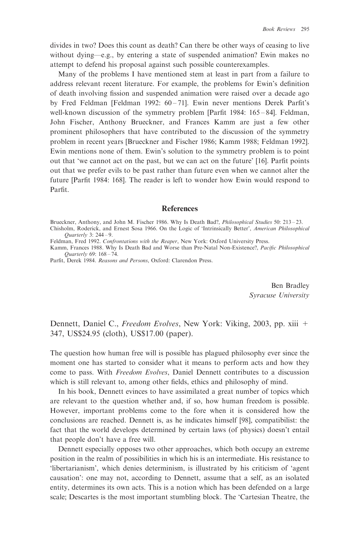divides in two? Does this count as death? Can there be other ways of ceasing to live without dying—e.g., by entering a state of suspended animation? Ewin makes no attempt to defend his proposal against such possible counterexamples.

Many of the problems I have mentioned stem at least in part from a failure to address relevant recent literature. For example, the problems for Ewin's definition of death involving fission and suspended animation were raised over a decade ago by Fred Feldman [Feldman 1992:  $60 - 71$ ]. Ewin never mentions Derek Parfit's well-known discussion of the symmetry problem [Parfit 1984: 165-84]. Feldman, John Fischer, Anthony Brueckner, and Frances Kamm are just a few other prominent philosophers that have contributed to the discussion of the symmetry problem in recent years [Brueckner and Fischer 1986; Kamm 1988; Feldman 1992]. Ewin mentions none of them. Ewin's solution to the symmetry problem is to point out that 'we cannot act on the past, but we can act on the future' [16]. Parfit points out that we prefer evils to be past rather than future even when we cannot alter the future [Parfit 1984: 168]. The reader is left to wonder how Ewin would respond to Parfit.

## **References**

Kamm, Frances 1988. Why Is Death Bad and Worse than Pre-Natal Non-Existence?, Pacific Philosophical Quarterly 69: 168 – 74.

Parfit, Derek 1984. Reasons and Persons, Oxford: Clarendon Press.

Ben Bradley Syracuse University

Dennett, Daniel C., Freedom Evolves, New York: Viking, 2003, pp. xiii + 347, US\$24.95 (cloth), US\$17.00 (paper).

The question how human free will is possible has plagued philosophy ever since the moment one has started to consider what it means to perform acts and how they come to pass. With Freedom Evolves, Daniel Dennett contributes to a discussion which is still relevant to, among other fields, ethics and philosophy of mind.

In his book, Dennett evinces to have assimilated a great number of topics which are relevant to the question whether and, if so, how human freedom is possible. However, important problems come to the fore when it is considered how the conclusions are reached. Dennett is, as he indicates himself [98], compatibilist: the fact that the world develops determined by certain laws (of physics) doesn't entail that people don't have a free will.

Dennett especially opposes two other approaches, which both occupy an extreme position in the realm of possibilities in which his is an intermediate. His resistance to 'libertarianism', which denies determinism, is illustrated by his criticism of 'agent causation': one may not, according to Dennett, assume that a self, as an isolated entity, determines its own acts. This is a notion which has been defended on a large scale; Descartes is the most important stumbling block. The 'Cartesian Theatre, the

Brueckner, Anthony, and John M. Fischer 1986. Why Is Death Bad?, Philosophical Studies 50: 213 – 23. Chisholm, Roderick, and Ernest Sosa 1966. On the Logic of 'Intrinsically Better', American Philosophical Quarterly 3: 244 – 9.

Feldman, Fred 1992. Confrontations with the Reaper, New York: Oxford University Press.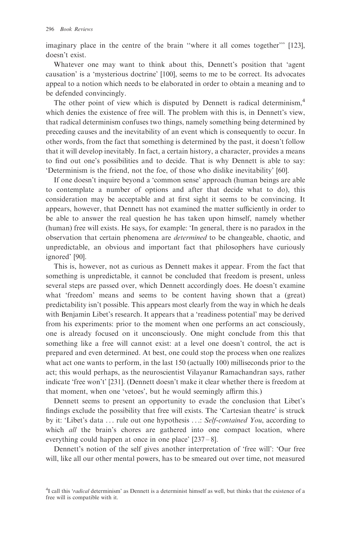imaginary place in the centre of the brain ''where it all comes together''' [123], doesn't exist.

Whatever one may want to think about this, Dennett's position that 'agent causation' is a 'mysterious doctrine' [100], seems to me to be correct. Its advocates appeal to a notion which needs to be elaborated in order to obtain a meaning and to be defended convincingly.

The other point of view which is disputed by Dennett is radical determinism,<sup>4</sup> which denies the existence of free will. The problem with this is, in Dennett's view, that radical determinism confuses two things, namely something being determined by preceding causes and the inevitability of an event which is consequently to occur. In other words, from the fact that something is determined by the past, it doesn't follow that it will develop inevitably. In fact, a certain history, a character, provides a means to find out one's possibilities and to decide. That is why Dennett is able to say: 'Determinism is the friend, not the foe, of those who dislike inevitability' [60].

If one doesn't inquire beyond a 'common sense' approach (human beings are able to contemplate a number of options and after that decide what to do), this consideration may be acceptable and at first sight it seems to be convincing. It appears, however, that Dennett has not examined the matter sufficiently in order to be able to answer the real question he has taken upon himself, namely whether (human) free will exists. He says, for example: 'In general, there is no paradox in the observation that certain phenomena are determined to be changeable, chaotic, and unpredictable, an obvious and important fact that philosophers have curiously ignored' [90].

This is, however, not as curious as Dennett makes it appear. From the fact that something is unpredictable, it cannot be concluded that freedom is present, unless several steps are passed over, which Dennett accordingly does. He doesn't examine what 'freedom' means and seems to be content having shown that a (great) predictability isn't possible. This appears most clearly from the way in which he deals with Benjamin Libet's research. It appears that a 'readiness potential' may be derived from his experiments: prior to the moment when one performs an act consciously, one is already focused on it unconsciously. One might conclude from this that something like a free will cannot exist: at a level one doesn't control, the act is prepared and even determined. At best, one could stop the process when one realizes what act one wants to perform, in the last 150 (actually 100) milliseconds prior to the act; this would perhaps, as the neuroscientist Vilayanur Ramachandran says, rather indicate 'free won't' [231]. (Dennett doesn't make it clear whether there is freedom at that moment, when one 'vetoes', but he would seemingly affirm this.)

Dennett seems to present an opportunity to evade the conclusion that Libet's findings exclude the possibility that free will exists. The 'Cartesian theatre' is struck by it: 'Libet's data ... rule out one hypothesis ...: Self-contained You, according to which *all* the brain's chores are gathered into one compact location, where everything could happen at once in one place' [237 – 8].

Dennett's notion of the self gives another interpretation of 'free will': 'Our free will, like all our other mental powers, has to be smeared out over time, not measured

<sup>&</sup>lt;sup>4</sup>I call this 'radical determinism' as Dennett is a determinist himself as well, but thinks that the existence of a free will is compatible with it.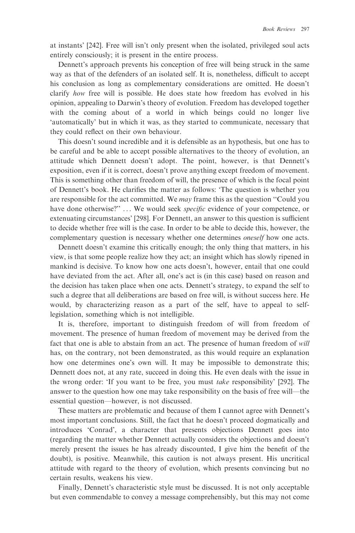at instants' [242]. Free will isn't only present when the isolated, privileged soul acts entirely consciously; it is present in the entire process.

Dennett's approach prevents his conception of free will being struck in the same way as that of the defenders of an isolated self. It is, nonetheless, difficult to accept his conclusion as long as complementary considerations are omitted. He doesn't clarify how free will is possible. He does state how freedom has evolved in his opinion, appealing to Darwin's theory of evolution. Freedom has developed together with the coming about of a world in which beings could no longer live 'automatically' but in which it was, as they started to communicate, necessary that they could reflect on their own behaviour.

This doesn't sound incredible and it is defensible as an hypothesis, but one has to be careful and be able to accept possible alternatives to the theory of evolution, an attitude which Dennett doesn't adopt. The point, however, is that Dennett's exposition, even if it is correct, doesn't prove anything except freedom of movement. This is something other than freedom of will, the presence of which is the focal point of Dennett's book. He clarifies the matter as follows: 'The question is whether you are responsible for the act committed. We *may* frame this as the question "Could you have done otherwise?" ... We would seek *specific* evidence of your competence, or extenuating circumstances' [298]. For Dennett, an answer to this question is sufficient to decide whether free will is the case. In order to be able to decide this, however, the complementary question is necessary whether one determines *oneself* how one acts.

Dennett doesn't examine this critically enough; the only thing that matters, in his view, is that some people realize how they act; an insight which has slowly ripened in mankind is decisive. To know how one acts doesn't, however, entail that one could have deviated from the act. After all, one's act is (in this case) based on reason and the decision has taken place when one acts. Dennett's strategy, to expand the self to such a degree that all deliberations are based on free will, is without success here. He would, by characterizing reason as a part of the self, have to appeal to selflegislation, something which is not intelligible.

It is, therefore, important to distinguish freedom of will from freedom of movement. The presence of human freedom of movement may be derived from the fact that one is able to abstain from an act. The presence of human freedom of will has, on the contrary, not been demonstrated, as this would require an explanation how one determines one's own will. It may be impossible to demonstrate this; Dennett does not, at any rate, succeed in doing this. He even deals with the issue in the wrong order: 'If you want to be free, you must take responsibility' [292]. The answer to the question how one may take responsibility on the basis of free will—the essential question—however, is not discussed.

These matters are problematic and because of them I cannot agree with Dennett's most important conclusions. Still, the fact that he doesn't proceed dogmatically and introduces 'Conrad', a character that presents objections Dennett goes into (regarding the matter whether Dennett actually considers the objections and doesn't merely present the issues he has already discounted, I give him the benefit of the doubt), is positive. Meanwhile, this caution is not always present. His uncritical attitude with regard to the theory of evolution, which presents convincing but no certain results, weakens his view.

Finally, Dennett's characteristic style must be discussed. It is not only acceptable but even commendable to convey a message comprehensibly, but this may not come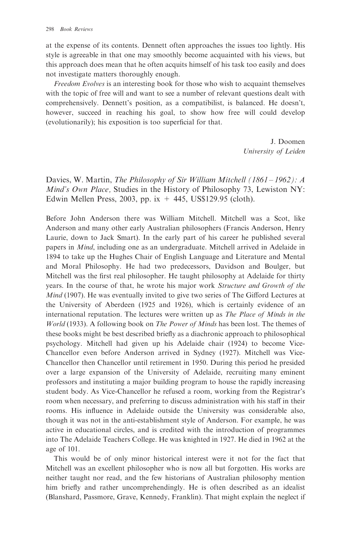at the expense of its contents. Dennett often approaches the issues too lightly. His style is agreeable in that one may smoothly become acquainted with his views, but this approach does mean that he often acquits himself of his task too easily and does not investigate matters thoroughly enough.

Freedom Evolves is an interesting book for those who wish to acquaint themselves with the topic of free will and want to see a number of relevant questions dealt with comprehensively. Dennett's position, as a compatibilist, is balanced. He doesn't, however, succeed in reaching his goal, to show how free will could develop (evolutionarily); his exposition is too superficial for that.

> J. Doomen University of Leiden

Davies, W. Martin, The Philosophy of Sir William Mitchell (1861–1962): A Mind's Own Place, Studies in the History of Philosophy 73, Lewiston NY: Edwin Mellen Press, 2003, pp. ix  $+445$ , US\$129.95 (cloth).

Before John Anderson there was William Mitchell. Mitchell was a Scot, like Anderson and many other early Australian philosophers (Francis Anderson, Henry Laurie, down to Jack Smart). In the early part of his career he published several papers in Mind, including one as an undergraduate. Mitchell arrived in Adelaide in 1894 to take up the Hughes Chair of English Language and Literature and Mental and Moral Philosophy. He had two predecessors, Davidson and Boulger, but Mitchell was the first real philosopher. He taught philosophy at Adelaide for thirty years. In the course of that, he wrote his major work Structure and Growth of the *Mind* (1907). He was eventually invited to give two series of The Gifford Lectures at the University of Aberdeen (1925 and 1926), which is certainly evidence of an international reputation. The lectures were written up as The Place of Minds in the World (1933). A following book on The Power of Minds has been lost. The themes of these books might be best described briefly as a diachronic approach to philosophical psychology. Mitchell had given up his Adelaide chair (1924) to become Vice-Chancellor even before Anderson arrived in Sydney (1927). Mitchell was Vice-Chancellor then Chancellor until retirement in 1950. During this period he presided over a large expansion of the University of Adelaide, recruiting many eminent professors and instituting a major building program to house the rapidly increasing student body. As Vice-Chancellor he refused a room, working from the Registrar's room when necessary, and preferring to discuss administration with his staff in their rooms. His influence in Adelaide outside the University was considerable also, though it was not in the anti-establishment style of Anderson. For example, he was active in educational circles, and is credited with the introduction of programmes into The Adelaide Teachers College. He was knighted in 1927. He died in 1962 at the age of 101.

This would be of only minor historical interest were it not for the fact that Mitchell was an excellent philosopher who is now all but forgotten. His works are neither taught nor read, and the few historians of Australian philosophy mention him briefly and rather uncomprehendingly. He is often described as an idealist (Blanshard, Passmore, Grave, Kennedy, Franklin). That might explain the neglect if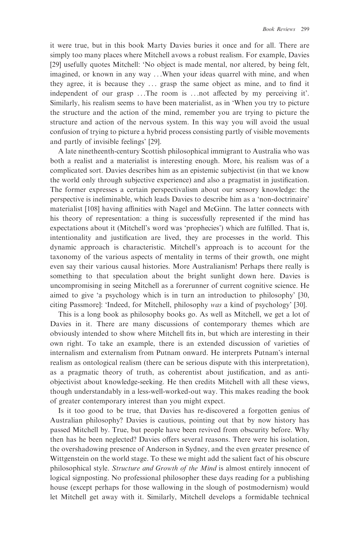it were true, but in this book Marty Davies buries it once and for all. There are simply too many places where Mitchell avows a robust realism. For example, Davies [29] usefully quotes Mitchell: 'No object is made mental, nor altered, by being felt, imagined, or known in any way . . .When your ideas quarrel with mine, and when they agree, it is because they ... grasp the same object as mine, and to find it independent of our grasp . . .The room is . . .not affected by my perceiving it'. Similarly, his realism seems to have been materialist, as in 'When you try to picture the structure and the action of the mind, remember you are trying to picture the structure and action of the nervous system. In this way you will avoid the usual confusion of trying to picture a hybrid process consisting partly of visible movements and partly of invisible feelings' [29].

A late ninetheenth-century Scottish philosophical immigrant to Australia who was both a realist and a materialist is interesting enough. More, his realism was of a complicated sort. Davies describes him as an epistemic subjectivist (in that we know the world only through subjective experience) and also a pragmatist in justification. The former expresses a certain perspectivalism about our sensory knowledge: the perspective is ineliminable, which leads Davies to describe him as a 'non-doctrinaire' materialist [108] having affinities with Nagel and McGinn. The latter connects with his theory of representation: a thing is successfully represented if the mind has expectations about it (Mitchell's word was 'prophecies') which are fulfilled. That is, intentionality and justification are lived, they are processes in the world. This dynamic approach is characteristic. Mitchell's approach is to account for the taxonomy of the various aspects of mentality in terms of their growth, one might even say their various causal histories. More Australianism! Perhaps there really is something to that speculation about the bright sunlight down here. Davies is uncompromising in seeing Mitchell as a forerunner of current cognitive science. He aimed to give 'a psychology which is in turn an introduction to philosophy' [30, citing Passmore]: 'Indeed, for Mitchell, philosophy was a kind of psychology' [30].

This is a long book as philosophy books go. As well as Mitchell, we get a lot of Davies in it. There are many discussions of contemporary themes which are obviously intended to show where Mitchell fits in, but which are interesting in their own right. To take an example, there is an extended discussion of varieties of internalism and externalism from Putnam onward. He interprets Putnam's internal realism as ontological realism (there can be serious dispute with this interpretation), as a pragmatic theory of truth, as coherentist about justification, and as antiobjectivist about knowledge-seeking. He then credits Mitchell with all these views, though understandably in a less-well-worked-out way. This makes reading the book of greater contemporary interest than you might expect.

Is it too good to be true, that Davies has re-discovered a forgotten genius of Australian philosophy? Davies is cautious, pointing out that by now history has passed Mitchell by. True, but people have been revived from obscurity before. Why then has he been neglected? Davies offers several reasons. There were his isolation, the overshadowing presence of Anderson in Sydney, and the even greater presence of Wittgenstein on the world stage. To these we might add the salient fact of his obscure philosophical style. Structure and Growth of the Mind is almost entirely innocent of logical signposting. No professional philosopher these days reading for a publishing house (except perhaps for those wallowing in the slough of postmodernism) would let Mitchell get away with it. Similarly, Mitchell develops a formidable technical